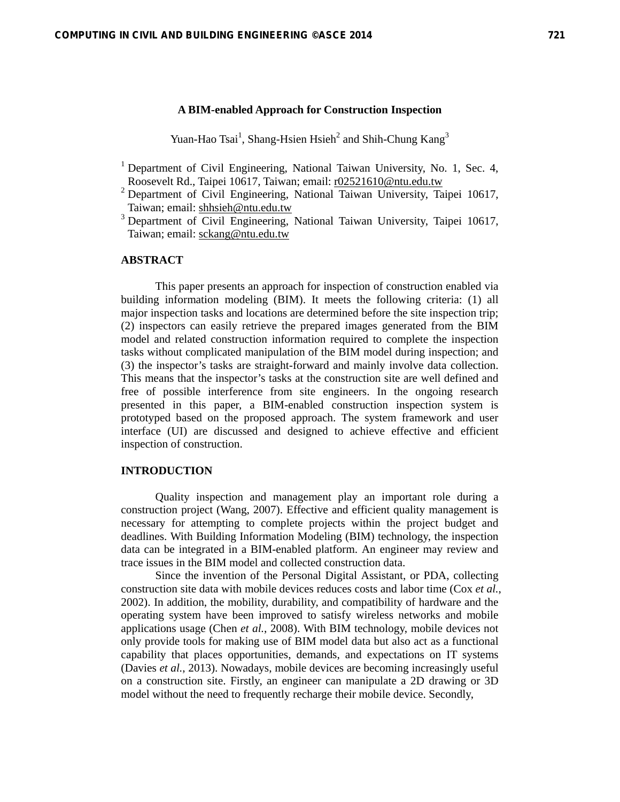#### **A BIM-enabled Approach for Construction Inspection**

Yuan-Hao Tsai<sup>1</sup>, Shang-Hsien Hsieh<sup>2</sup> and Shih-Chung Kang<sup>3</sup>

<sup>1</sup> Department of Civil Engineering, National Taiwan University, No. 1, Sec. 4, Roosevelt Rd., Taipei 10617, Taiwan; email: r02521610@ntu.edu.tw

<sup>2</sup> Department of Civil Engineering, National Taiwan University, Taipei 10617, Taiwan; email: shhsieh@ntu.edu.tw

<sup>3</sup> Department of Civil Engineering, National Taiwan University, Taipei 10617, Taiwan; email: sckang@ntu.edu.tw

### **ABSTRACT**

This paper presents an approach for inspection of construction enabled via building information modeling (BIM). It meets the following criteria: (1) all major inspection tasks and locations are determined before the site inspection trip; (2) inspectors can easily retrieve the prepared images generated from the BIM model and related construction information required to complete the inspection tasks without complicated manipulation of the BIM model during inspection; and (3) the inspector's tasks are straight-forward and mainly involve data collection. This means that the inspector's tasks at the construction site are well defined and free of possible interference from site engineers. In the ongoing research presented in this paper, a BIM-enabled construction inspection system is prototyped based on the proposed approach. The system framework and user interface (UI) are discussed and designed to achieve effective and efficient inspection of construction.

### **INTRODUCTION**

Quality inspection and management play an important role during a construction project (Wang, 2007). Effective and efficient quality management is necessary for attempting to complete projects within the project budget and deadlines. With Building Information Modeling (BIM) technology, the inspection data can be integrated in a BIM-enabled platform. An engineer may review and trace issues in the BIM model and collected construction data.

Since the invention of the Personal Digital Assistant, or PDA, collecting construction site data with mobile devices reduces costs and labor time (Cox *et al.*, 2002). In addition, the mobility, durability, and compatibility of hardware and the operating system have been improved to satisfy wireless networks and mobile applications usage (Chen *et al.*, 2008). With BIM technology, mobile devices not only provide tools for making use of BIM model data but also act as a functional capability that places opportunities, demands, and expectations on IT systems (Davies *et al.*, 2013). Nowadays, mobile devices are becoming increasingly useful on a construction site. Firstly, an engineer can manipulate a 2D drawing or 3D model without the need to frequently recharge their mobile device. Secondly,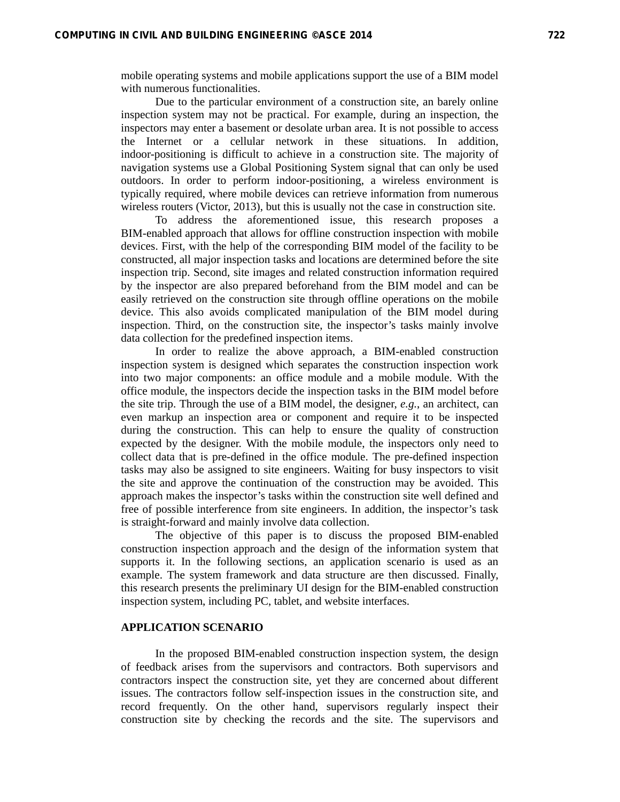mobile operating systems and mobile applications support the use of a BIM model with numerous functionalities.

Due to the particular environment of a construction site, an barely online inspection system may not be practical. For example, during an inspection, the inspectors may enter a basement or desolate urban area. It is not possible to access the Internet or a cellular network in these situations. In addition, indoor-positioning is difficult to achieve in a construction site. The majority of navigation systems use a Global Positioning System signal that can only be used outdoors. In order to perform indoor-positioning, a wireless environment is typically required, where mobile devices can retrieve information from numerous wireless routers (Victor, 2013), but this is usually not the case in construction site.

To address the aforementioned issue, this research proposes a BIM-enabled approach that allows for offline construction inspection with mobile devices. First, with the help of the corresponding BIM model of the facility to be constructed, all major inspection tasks and locations are determined before the site inspection trip. Second, site images and related construction information required by the inspector are also prepared beforehand from the BIM model and can be easily retrieved on the construction site through offline operations on the mobile device. This also avoids complicated manipulation of the BIM model during inspection. Third, on the construction site, the inspector's tasks mainly involve data collection for the predefined inspection items.

In order to realize the above approach, a BIM-enabled construction inspection system is designed which separates the construction inspection work into two major components: an office module and a mobile module. With the office module, the inspectors decide the inspection tasks in the BIM model before the site trip. Through the use of a BIM model, the designer, *e.g.*, an architect, can even markup an inspection area or component and require it to be inspected during the construction. This can help to ensure the quality of construction expected by the designer. With the mobile module, the inspectors only need to collect data that is pre-defined in the office module. The pre-defined inspection tasks may also be assigned to site engineers. Waiting for busy inspectors to visit the site and approve the continuation of the construction may be avoided. This approach makes the inspector's tasks within the construction site well defined and free of possible interference from site engineers. In addition, the inspector's task is straight-forward and mainly involve data collection.

The objective of this paper is to discuss the proposed BIM-enabled construction inspection approach and the design of the information system that supports it. In the following sections, an application scenario is used as an example. The system framework and data structure are then discussed. Finally, this research presents the preliminary UI design for the BIM-enabled construction inspection system, including PC, tablet, and website interfaces.

### **APPLICATION SCENARIO**

In the proposed BIM-enabled construction inspection system, the design of feedback arises from the supervisors and contractors. Both supervisors and contractors inspect the construction site, yet they are concerned about different issues. The contractors follow self-inspection issues in the construction site, and record frequently. On the other hand, supervisors regularly inspect their construction site by checking the records and the site. The supervisors and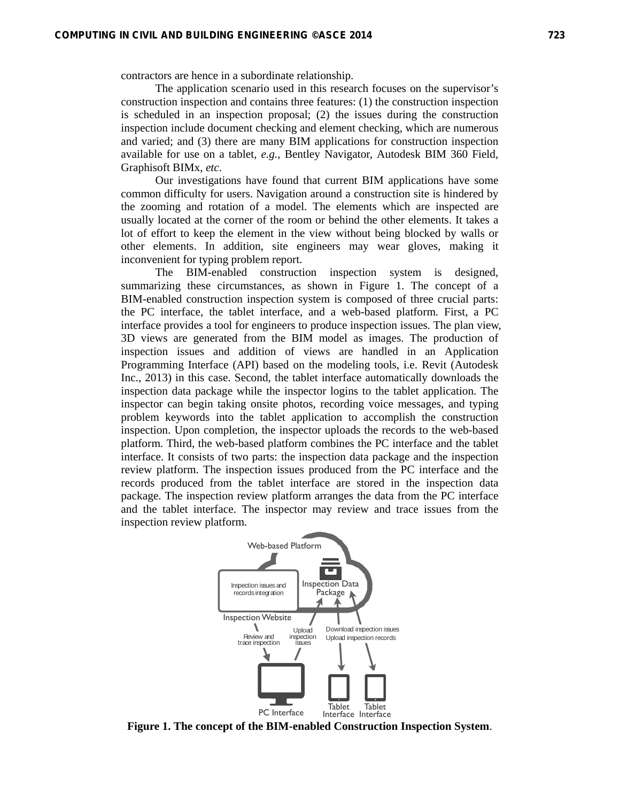contractors are hence in a subordinate relationship.

The application scenario used in this research focuses on the supervisor's construction inspection and contains three features: (1) the construction inspection is scheduled in an inspection proposal; (2) the issues during the construction inspection include document checking and element checking, which are numerous and varied; and (3) there are many BIM applications for construction inspection available for use on a tablet, *e.g.*, Bentley Navigator, Autodesk BIM 360 Field, Graphisoft BIMx, *etc*.

Our investigations have found that current BIM applications have some common difficulty for users. Navigation around a construction site is hindered by the zooming and rotation of a model. The elements which are inspected are usually located at the corner of the room or behind the other elements. It takes a lot of effort to keep the element in the view without being blocked by walls or other elements. In addition, site engineers may wear gloves, making it inconvenient for typing problem report.

The BIM-enabled construction inspection system is designed, summarizing these circumstances, as shown in Figure 1. The concept of a BIM-enabled construction inspection system is composed of three crucial parts: the PC interface, the tablet interface, and a web-based platform. First, a PC interface provides a tool for engineers to produce inspection issues. The plan view, 3D views are generated from the BIM model as images. The production of inspection issues and addition of views are handled in an Application Programming Interface (API) based on the modeling tools, i.e. Revit (Autodesk Inc., 2013) in this case. Second, the tablet interface automatically downloads the inspection data package while the inspector logins to the tablet application. The inspector can begin taking onsite photos, recording voice messages, and typing problem keywords into the tablet application to accomplish the construction inspection. Upon completion, the inspector uploads the records to the web-based platform. Third, the web-based platform combines the PC interface and the tablet interface. It consists of two parts: the inspection data package and the inspection review platform. The inspection issues produced from the PC interface and the records produced from the tablet interface are stored in the inspection data package. The inspection review platform arranges the data from the PC interface and the tablet interface. The inspector may review and trace issues from the inspection review platform.



**Figure 1. The concept of the BIM-enabled Construction Inspection System**.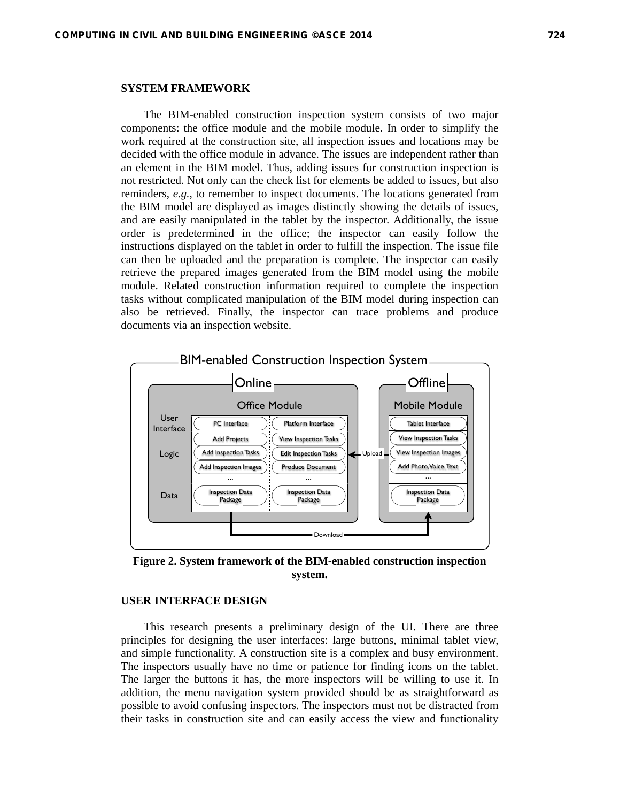## **SYSTEM FRAMEWORK**

The BIM-enabled construction inspection system consists of two major components: the office module and the mobile module. In order to simplify the work required at the construction site, all inspection issues and locations may be decided with the office module in advance. The issues are independent rather than an element in the BIM model. Thus, adding issues for construction inspection is not restricted. Not only can the check list for elements be added to issues, but also reminders, *e.g.*, to remember to inspect documents. The locations generated from the BIM model are displayed as images distinctly showing the details of issues, and are easily manipulated in the tablet by the inspector. Additionally, the issue order is predetermined in the office; the inspector can easily follow the instructions displayed on the tablet in order to fulfill the inspection. The issue file can then be uploaded and the preparation is complete. The inspector can easily retrieve the prepared images generated from the BIM model using the mobile module. Related construction information required to complete the inspection tasks without complicated manipulation of the BIM model during inspection can also be retrieved. Finally, the inspector can trace problems and produce documents via an inspection website.



**Figure 2. System framework of the BIM-enabled construction inspection system.** 

## **USER INTERFACE DESIGN**

This research presents a preliminary design of the UI. There are three principles for designing the user interfaces: large buttons, minimal tablet view, and simple functionality. A construction site is a complex and busy environment. The inspectors usually have no time or patience for finding icons on the tablet. The larger the buttons it has, the more inspectors will be willing to use it. In addition, the menu navigation system provided should be as straightforward as possible to avoid confusing inspectors. The inspectors must not be distracted from their tasks in construction site and can easily access the view and functionality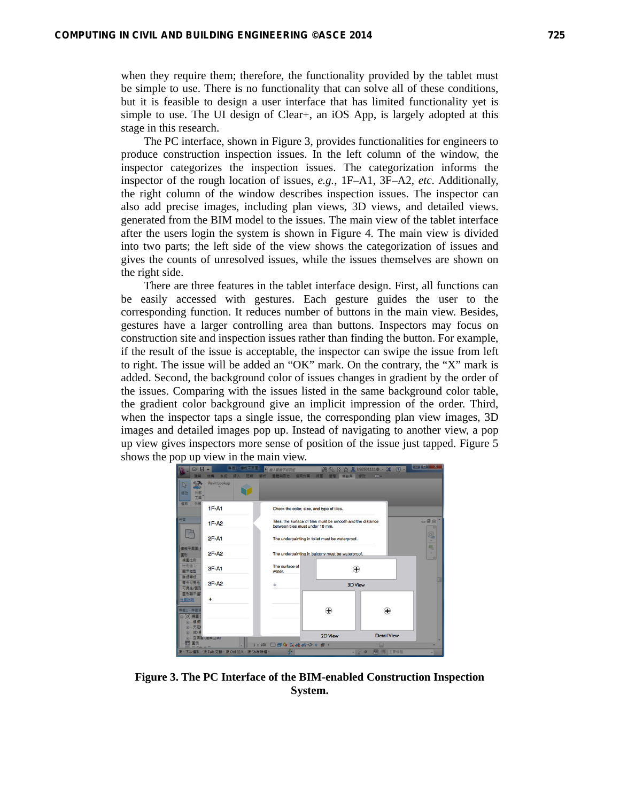when they require them; therefore, the functionality provided by the tablet must be simple to use. There is no functionality that can solve all of these conditions, but it is feasible to design a user interface that has limited functionality yet is simple to use. The UI design of Clear+, an iOS App, is largely adopted at this stage in this research.

The PC interface, shown in Figure 3, provides functionalities for engineers to produce construction inspection issues. In the left column of the window, the inspector categorizes the inspection issues. The categorization informs the inspector of the rough location of issues, *e.g.*, 1F–A1, 3F–A2, *etc*. Additionally, the right column of the window describes inspection issues. The inspector can also add precise images, including plan views, 3D views, and detailed views. generated from the BIM model to the issues. The main view of the tablet interface after the users login the system is shown in Figure 4. The main view is divided into two parts; the left side of the view shows the categorization of issues and gives the counts of unresolved issues, while the issues themselves are shown on the right side.

There are three features in the tablet interface design. First, all functions can be easily accessed with gestures. Each gesture guides the user to the corresponding function. It reduces number of buttons in the main view. Besides, gestures have a larger controlling area than buttons. Inspectors may focus on construction site and inspection issues rather than finding the button. For example, if the result of the issue is acceptable, the inspector can swipe the issue from left to right. The issue will be added an "OK" mark. On the contrary, the "X" mark is added. Second, the background color of issues changes in gradient by the order of the issues. Comparing with the issues listed in the same background color table, the gradient color background give an implicit impression of the order. Third, when the inspector taps a single issue, the corresponding plan view images, 3D images and detailed images pop up. Instead of navigating to another view, a pop up view gives inspectors more sense of position of the issue just tapped. Figure 5 shows the pop up view in the main view.



**Figure 3. The PC Interface of the BIM-enabled Construction Inspection System.**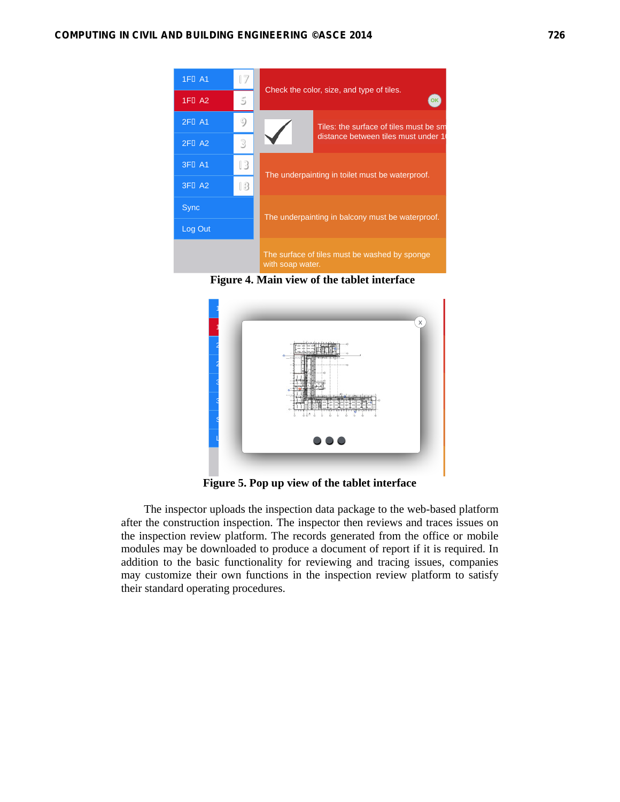

**Figure 4. Main view of the tablet interface** 



**Figure 5. Pop up view of the tablet interface** 

The inspector uploads the inspection data package to the web-based platform after the construction inspection. The inspector then reviews and traces issues on the inspection review platform. The records generated from the office or mobile modules may be downloaded to produce a document of report if it is required. In addition to the basic functionality for reviewing and tracing issues, companies may customize their own functions in the inspection review platform to satisfy their standard operating procedures.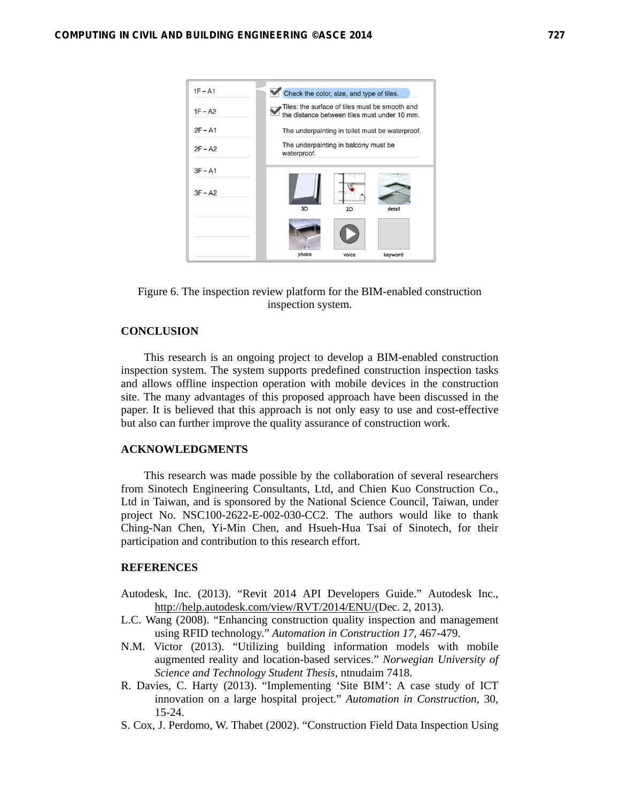

Figure 6. The inspection review platform for the BIM-enabled construction inspection system.

### **CONCLUSION**

This research is an ongoing project to develop a BIM-enabled construction inspection system. The system supports predefined construction inspection tasks and allows offline inspection operation with mobile devices in the construction site. The many advantages of this proposed approach have been discussed in the paper. It is believed that this approach is not only easy to use and cost-effective but also can further improve the quality assurance of construction work.

### **ACKNOWLEDGMENTS**

This research was made possible by the collaboration of several researchers from Sinotech Engineering Consultants, Ltd, and Chien Kuo Construction Co., Ltd in Taiwan, and is sponsored by the National Science Council, Taiwan, under project No. NSC100-2622-E-002-030-CC2. The authors would like to thank Ching-Nan Chen, Yi-Min Chen, and Hsueh-Hua Tsai of Sinotech, for their participation and contribution to this research effort.

# **REFERENCES**

- Autodesk, Inc. (2013). "Revit 2014 API Developers Guide." Autodesk Inc., http://help.autodesk.com/view/RVT/2014/ENU/(Dec. 2, 2013).
- L.C. Wang (2008). "Enhancing construction quality inspection and management using RFID technology." *Automation in Construction 17*, 467-479.
- N.M. Victor (2013). "Utilizing building information models with mobile augmented reality and location-based services." *Norwegian University of Science and Technology Student Thesis*, ntnudaim 7418.
- R. Davies, C. Harty (2013). "Implementing 'Site BIM': A case study of ICT innovation on a large hospital project." *Automation in Construction*, 30, 15-24.
- S. Cox, J. Perdomo, W. Thabet (2002). "Construction Field Data Inspection Using